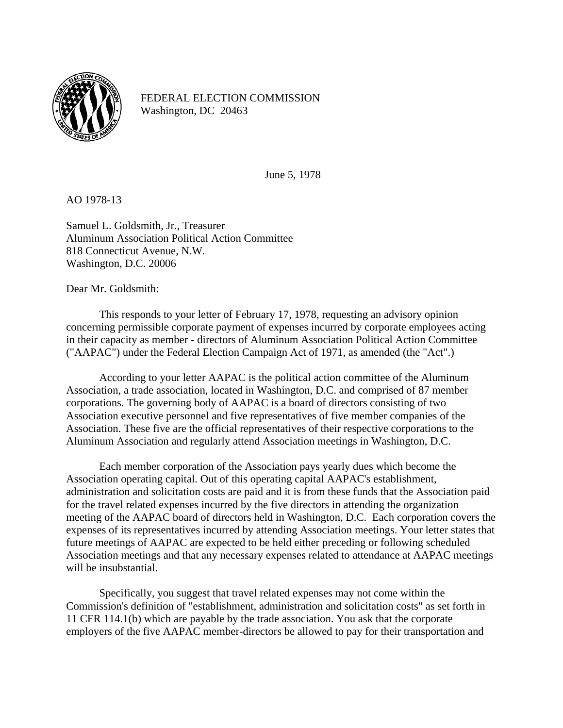

FEDERAL ELECTION COMMISSION Washington, DC 20463

June 5, 1978

AO 1978-13

Samuel L. Goldsmith, Jr., Treasurer Aluminum Association Political Action Committee 818 Connecticut Avenue, N.W. Washington, D.C. 20006

Dear Mr. Goldsmith:

 This responds to your letter of February 17, 1978, requesting an advisory opinion concerning permissible corporate payment of expenses incurred by corporate employees acting in their capacity as member - directors of Aluminum Association Political Action Committee ("AAPAC") under the Federal Election Campaign Act of 1971, as amended (the "Act".)

 According to your letter AAPAC is the political action committee of the Aluminum Association, a trade association, located in Washington, D.C. and comprised of 87 member corporations. The governing body of AAPAC is a board of directors consisting of two Association executive personnel and five representatives of five member companies of the Association. These five are the official representatives of their respective corporations to the Aluminum Association and regularly attend Association meetings in Washington, D.C.

 Each member corporation of the Association pays yearly dues which become the Association operating capital. Out of this operating capital AAPAC's establishment, administration and solicitation costs are paid and it is from these funds that the Association paid for the travel related expenses incurred by the five directors in attending the organization meeting of the AAPAC board of directors held in Washington, D.C. Each corporation covers the expenses of its representatives incurred by attending Association meetings. Your letter states that future meetings of AAPAC are expected to be held either preceding or following scheduled Association meetings and that any necessary expenses related to attendance at AAPAC meetings will be insubstantial.

 Specifically, you suggest that travel related expenses may not come within the Commission's definition of "establishment, administration and solicitation costs" as set forth in 11 CFR 114.1(b) which are payable by the trade association. You ask that the corporate employers of the five AAPAC member-directors be allowed to pay for their transportation and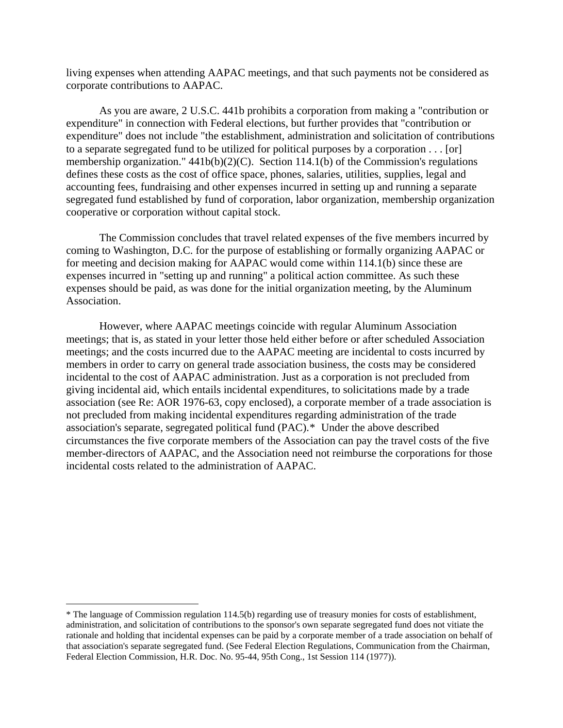living expenses when attending AAPAC meetings, and that such payments not be considered as corporate contributions to AAPAC.

 As you are aware, 2 U.S.C. 441b prohibits a corporation from making a "contribution or expenditure" in connection with Federal elections, but further provides that "contribution or expenditure" does not include "the establishment, administration and solicitation of contributions to a separate segregated fund to be utilized for political purposes by a corporation . . . [or] membership organization." 441b(b)(2)(C). Section 114.1(b) of the Commission's regulations defines these costs as the cost of office space, phones, salaries, utilities, supplies, legal and accounting fees, fundraising and other expenses incurred in setting up and running a separate segregated fund established by fund of corporation, labor organization, membership organization cooperative or corporation without capital stock.

 The Commission concludes that travel related expenses of the five members incurred by coming to Washington, D.C. for the purpose of establishing or formally organizing AAPAC or for meeting and decision making for AAPAC would come within 114.1(b) since these are expenses incurred in "setting up and running" a political action committee. As such these expenses should be paid, as was done for the initial organization meeting, by the Aluminum Association.

 However, where AAPAC meetings coincide with regular Aluminum Association meetings; that is, as stated in your letter those held either before or after scheduled Association meetings; and the costs incurred due to the AAPAC meeting are incidental to costs incurred by members in order to carry on general trade association business, the costs may be considered incidental to the cost of AAPAC administration. Just as a corporation is not precluded from giving incidental aid, which entails incidental expenditures, to solicitations made by a trade association (see Re: AOR 1976-63, copy enclosed), a corporate member of a trade association is not precluded from making incidental expenditures regarding administration of the trade association's separate, segregated political fund (PAC).[\\*](#page-1-0) Under the above described circumstances the five corporate members of the Association can pay the travel costs of the five member-directors of AAPAC, and the Association need not reimburse the corporations for those incidental costs related to the administration of AAPAC.

 $\overline{a}$ 

<span id="page-1-0"></span><sup>\*</sup> The language of Commission regulation 114.5(b) regarding use of treasury monies for costs of establishment, administration, and solicitation of contributions to the sponsor's own separate segregated fund does not vitiate the rationale and holding that incidental expenses can be paid by a corporate member of a trade association on behalf of that association's separate segregated fund. (See Federal Election Regulations, Communication from the Chairman, Federal Election Commission, H.R. Doc. No. 95-44, 95th Cong., 1st Session 114 (1977)).